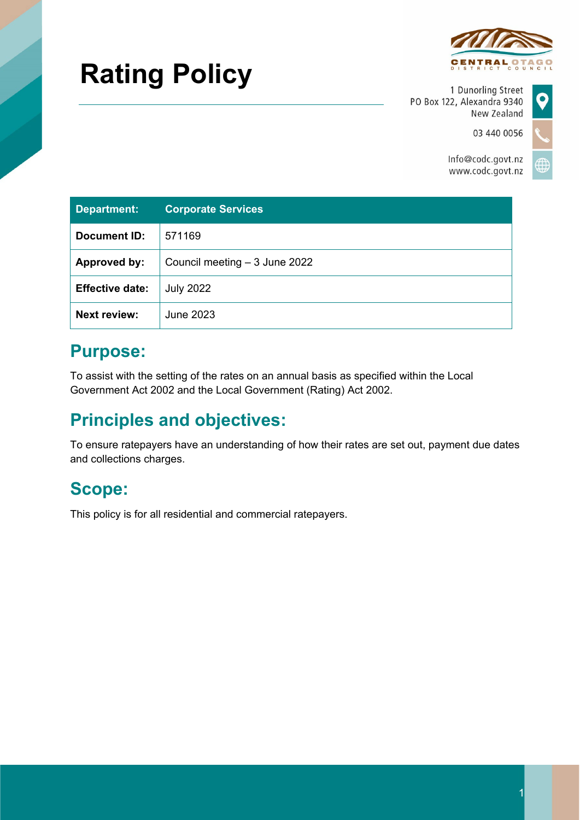# **Rating Policy**



1 Dunorling Street PO Box 122, Alexandra 9340 New Zealand

03 440 0056

 $\bullet$ 

Info@codc.govt.nz www.codc.govt.nz

| <b>Department:</b>     | <b>Corporate Services</b>      |
|------------------------|--------------------------------|
| Document ID:           | 571169                         |
| Approved by:           | Council meeting $-3$ June 2022 |
| <b>Effective date:</b> | <b>July 2022</b>               |
| <b>Next review:</b>    | June 2023                      |

# **Purpose:**

To assist with the setting of the rates on an annual basis as specified within the Local Government Act 2002 and the Local Government (Rating) Act 2002.

# **Principles and objectives:**

To ensure ratepayers have an understanding of how their rates are set out, payment due dates and collections charges.

# **Scope:**

This policy is for all residential and commercial ratepayers.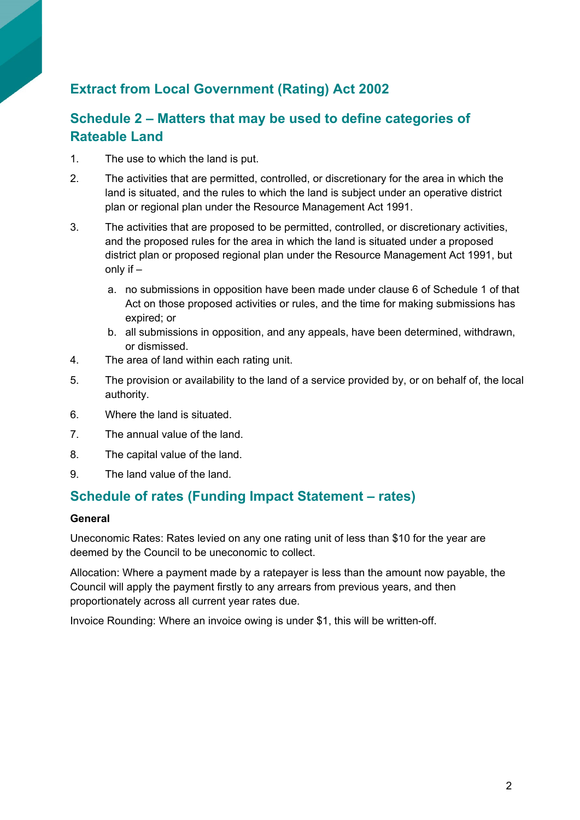# **Extract from Local Government (Rating) Act 2002**

### **Schedule 2 – Matters that may be used to define categories of Rateable Land**

- 1. The use to which the land is put.
- 2. The activities that are permitted, controlled, or discretionary for the area in which the land is situated, and the rules to which the land is subject under an operative district plan or regional plan under the Resource Management Act 1991.
- 3. The activities that are proposed to be permitted, controlled, or discretionary activities, and the proposed rules for the area in which the land is situated under a proposed district plan or proposed regional plan under the Resource Management Act 1991, but only if –
	- a. no submissions in opposition have been made under clause 6 of Schedule 1 of that Act on those proposed activities or rules, and the time for making submissions has expired; or
	- b. all submissions in opposition, and any appeals, have been determined, withdrawn, or dismissed.
- 4. The area of land within each rating unit.
- 5. The provision or availability to the land of a service provided by, or on behalf of, the local authority.
- 6. Where the land is situated.
- 7. The annual value of the land.
- 8. The capital value of the land.
- 9. The land value of the land.

#### **Schedule of rates (Funding Impact Statement – rates)**

#### **General**

Uneconomic Rates: Rates levied on any one rating unit of less than \$10 for the year are deemed by the Council to be uneconomic to collect.

Allocation: Where a payment made by a ratepayer is less than the amount now payable, the Council will apply the payment firstly to any arrears from previous years, and then proportionately across all current year rates due.

Invoice Rounding: Where an invoice owing is under \$1, this will be written-off.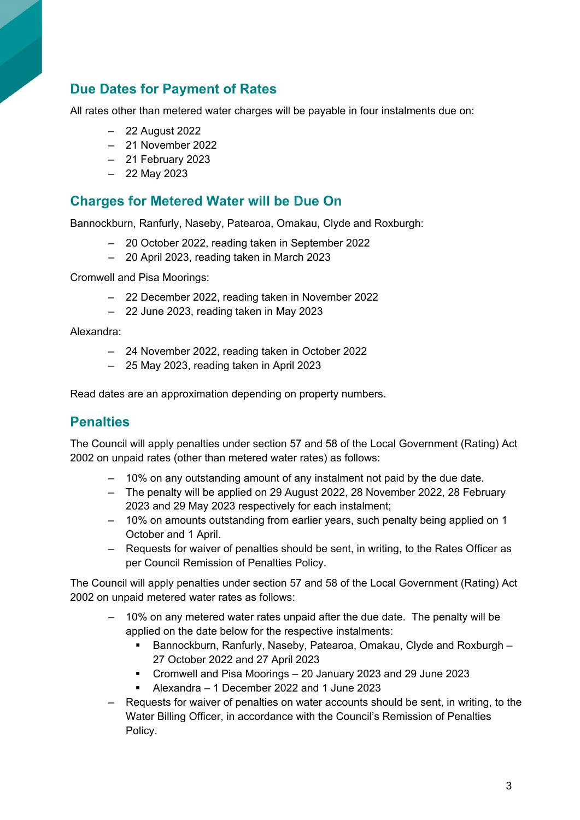### **Due Dates for Payment of Rates**

All rates other than metered water charges will be payable in four instalments due on:

- ‒ 22 August 2022
- ‒ 21 November 2022
- ‒ 21 February 2023
- ‒ 22 May 2023

#### **Charges for Metered Water will be Due On**

Bannockburn, Ranfurly, Naseby, Patearoa, Omakau, Clyde and Roxburgh:

- ‒ 20 October 2022, reading taken in September 2022
- ‒ 20 April 2023, reading taken in March 2023

Cromwell and Pisa Moorings:

- ‒ 22 December 2022, reading taken in November 2022
- ‒ 22 June 2023, reading taken in May 2023

Alexandra:

- ‒ 24 November 2022, reading taken in October 2022
- ‒ 25 May 2023, reading taken in April 2023

Read dates are an approximation depending on property numbers.

#### **Penalties**

The Council will apply penalties under section 57 and 58 of the Local Government (Rating) Act 2002 on unpaid rates (other than metered water rates) as follows:

- ‒ 10% on any outstanding amount of any instalment not paid by the due date.
- The penalty will be applied on 29 August 2022, 28 November 2022, 28 February 2023 and 29 May 2023 respectively for each instalment;
- ‒ 10% on amounts outstanding from earlier years, such penalty being applied on 1 October and 1 April.
- ‒ Requests for waiver of penalties should be sent, in writing, to the Rates Officer as per Council Remission of Penalties Policy.

The Council will apply penalties under section 57 and 58 of the Local Government (Rating) Act 2002 on unpaid metered water rates as follows:

- ‒ 10% on any metered water rates unpaid after the due date. The penalty will be applied on the date below for the respective instalments:
	- Bannockburn, Ranfurly, Naseby, Patearoa, Omakau, Clyde and Roxburgh 27 October 2022 and 27 April 2023
	- Cromwell and Pisa Moorings 20 January 2023 and 29 June 2023
	- Alexandra 1 December 2022 and 1 June 2023
- ‒ Requests for waiver of penalties on water accounts should be sent, in writing, to the Water Billing Officer, in accordance with the Council's Remission of Penalties Policy.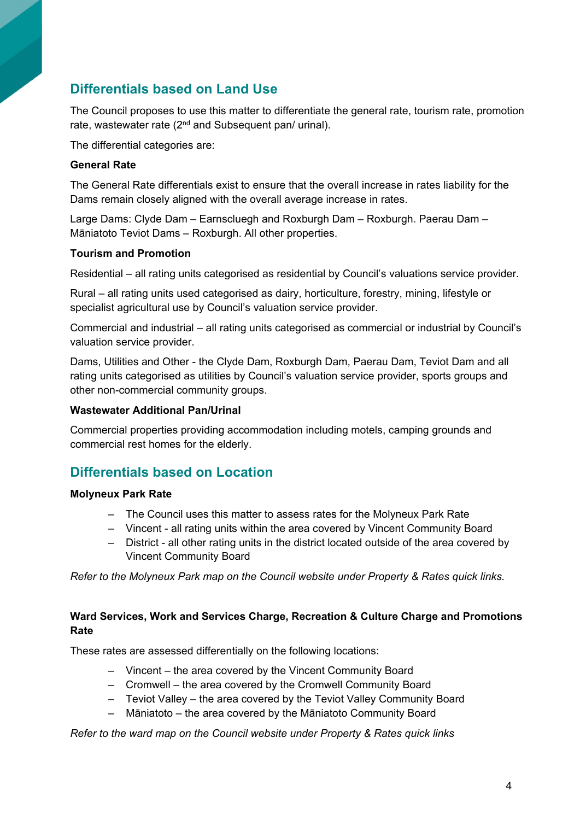# **Differentials based on Land Use**

The Council proposes to use this matter to differentiate the general rate, tourism rate, promotion rate, wastewater rate (2<sup>nd</sup> and Subsequent pan/ urinal).

The differential categories are:

#### **General Rate**

The General Rate differentials exist to ensure that the overall increase in rates liability for the Dams remain closely aligned with the overall average increase in rates.

Large Dams: Clyde Dam – Earnscluegh and Roxburgh Dam – Roxburgh. Paerau Dam – Māniatoto Teviot Dams – Roxburgh. All other properties.

#### **Tourism and Promotion**

Residential – all rating units categorised as residential by Council's valuations service provider.

Rural – all rating units used categorised as dairy, horticulture, forestry, mining, lifestyle or specialist agricultural use by Council's valuation service provider.

Commercial and industrial – all rating units categorised as commercial or industrial by Council's valuation service provider.

Dams, Utilities and Other - the Clyde Dam, Roxburgh Dam, Paerau Dam, Teviot Dam and all rating units categorised as utilities by Council's valuation service provider, sports groups and other non-commercial community groups.

#### **Wastewater Additional Pan/Urinal**

Commercial properties providing accommodation including motels, camping grounds and commercial rest homes for the elderly.

### **Differentials based on Location**

#### **Molyneux Park Rate**

- ‒ The Council uses this matter to assess rates for the Molyneux Park Rate
- ‒ Vincent all rating units within the area covered by Vincent Community Board
- ‒ District all other rating units in the district located outside of the area covered by Vincent Community Board

*Refer to the Molyneux Park map on the Council website under Property & Rates quick links.*

#### **Ward Services, Work and Services Charge, Recreation & Culture Charge and Promotions Rate**

These rates are assessed differentially on the following locations:

- ‒ Vincent the area covered by the Vincent Community Board
- ‒ Cromwell the area covered by the Cromwell Community Board
- ‒ Teviot Valley the area covered by the Teviot Valley Community Board
- ‒ Māniatoto the area covered by the Māniatoto Community Board

*Refer to the ward map on the Council website under Property & Rates quick links*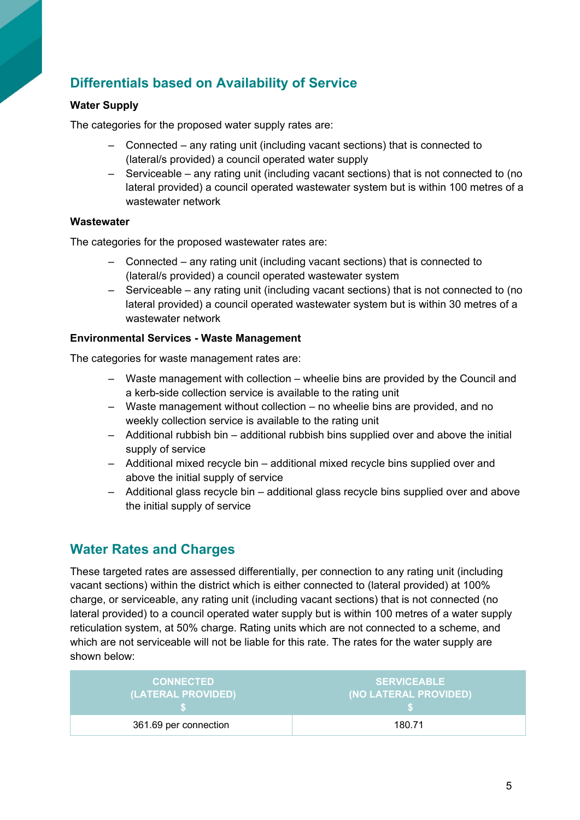# **Differentials based on Availability of Service**

#### **Water Supply**

The categories for the proposed water supply rates are:

- ‒ Connected any rating unit (including vacant sections) that is connected to (lateral/s provided) a council operated water supply
- ‒ Serviceable any rating unit (including vacant sections) that is not connected to (no lateral provided) a council operated wastewater system but is within 100 metres of a wastewater network

#### **Wastewater**

The categories for the proposed wastewater rates are:

- ‒ Connected any rating unit (including vacant sections) that is connected to (lateral/s provided) a council operated wastewater system
- ‒ Serviceable any rating unit (including vacant sections) that is not connected to (no lateral provided) a council operated wastewater system but is within 30 metres of a wastewater network

#### **Environmental Services - Waste Management**

The categories for waste management rates are:

- ‒ Waste management with collection wheelie bins are provided by the Council and a kerb-side collection service is available to the rating unit
- ‒ Waste management without collection no wheelie bins are provided, and no weekly collection service is available to the rating unit
- ‒ Additional rubbish bin additional rubbish bins supplied over and above the initial supply of service
- ‒ Additional mixed recycle bin additional mixed recycle bins supplied over and above the initial supply of service
- ‒ Additional glass recycle bin additional glass recycle bins supplied over and above the initial supply of service

### **Water Rates and Charges**

These targeted rates are assessed differentially, per connection to any rating unit (including vacant sections) within the district which is either connected to (lateral provided) at 100% charge, or serviceable, any rating unit (including vacant sections) that is not connected (no lateral provided) to a council operated water supply but is within 100 metres of a water supply reticulation system, at 50% charge. Rating units which are not connected to a scheme, and which are not serviceable will not be liable for this rate. The rates for the water supply are shown below:

| <b>CONNECTED</b>      | <b>SERVICEABLE</b>    |
|-----------------------|-----------------------|
| (LATERAL PROVIDED)    | (NO LATERAL PROVIDED) |
| 361.69 per connection | 180.71                |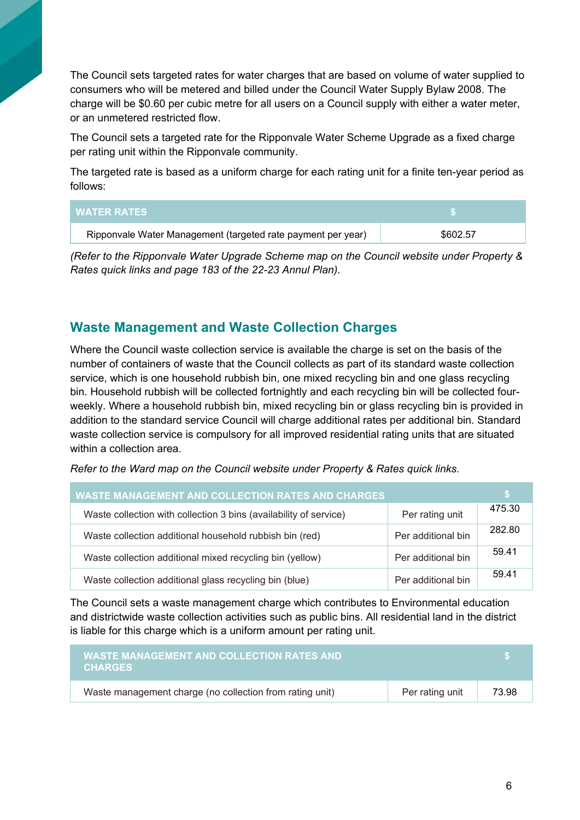The Council sets targeted rates for water charges that are based on volume of water supplied to consumers who will be metered and billed under the Council Water Supply Bylaw 2008. The charge will be \$0.60 per cubic metre for all users on a Council supply with either a water meter, or an unmetered restricted flow.

The Council sets a targeted rate for the Ripponvale Water Scheme Upgrade as a fixed charge per rating unit within the Ripponvale community.

The targeted rate is based as a uniform charge for each rating unit for a finite ten-year period as follows:

| <b>WATER RATES</b>                                           |          |
|--------------------------------------------------------------|----------|
| Ripponvale Water Management (targeted rate payment per year) | \$602.57 |

*(Refer to the Ripponvale Water Upgrade Scheme map on the Council website under Property & Rates quick links and page 183 of the 22-23 Annul Plan).*

#### **Waste Management and Waste Collection Charges**

Where the Council waste collection service is available the charge is set on the basis of the number of containers of waste that the Council collects as part of its standard waste collection service, which is one household rubbish bin, one mixed recycling bin and one glass recycling bin. Household rubbish will be collected fortnightly and each recycling bin will be collected fourweekly. Where a household rubbish bin, mixed recycling bin or glass recycling bin is provided in addition to the standard service Council will charge additional rates per additional bin. Standard waste collection service is compulsory for all improved residential rating units that are situated within a collection area.

*Refer to the Ward map on the Council website under Property & Rates quick links.*

| <b>WASTE MANAGEMENT AND COLLECTION RATES AND CHARGES</b>          |                    |        |
|-------------------------------------------------------------------|--------------------|--------|
| Waste collection with collection 3 bins (availability of service) | Per rating unit    | 475.30 |
| Waste collection additional household rubbish bin (red)           | Per additional bin | 282.80 |
| Waste collection additional mixed recycling bin (yellow)          | Per additional bin | 59.41  |
| Waste collection additional glass recycling bin (blue)            | Per additional bin | 59.41  |

The Council sets a waste management charge which contributes to Environmental education and districtwide waste collection activities such as public bins. All residential land in the district is liable for this charge which is a uniform amount per rating unit.

| <b>WASTE MANAGEMENT AND COLLECTION RATES AND</b><br><b>CHARGES</b> |                 |       |
|--------------------------------------------------------------------|-----------------|-------|
| Waste management charge (no collection from rating unit)           | Per rating unit | 73.98 |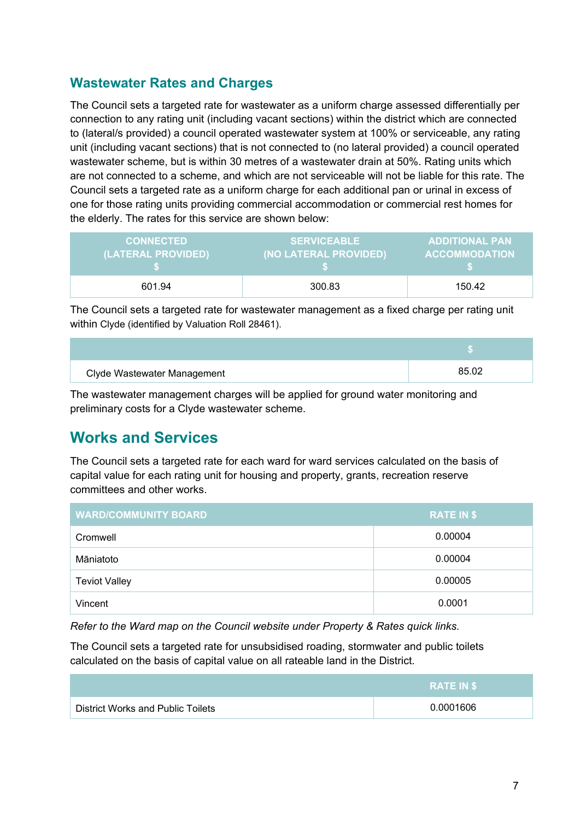### **Wastewater Rates and Charges**

The Council sets a targeted rate for wastewater as a uniform charge assessed differentially per connection to any rating unit (including vacant sections) within the district which are connected to (lateral/s provided) a council operated wastewater system at 100% or serviceable, any rating unit (including vacant sections) that is not connected to (no lateral provided) a council operated wastewater scheme, but is within 30 metres of a wastewater drain at 50%. Rating units which are not connected to a scheme, and which are not serviceable will not be liable for this rate. The Council sets a targeted rate as a uniform charge for each additional pan or urinal in excess of one for those rating units providing commercial accommodation or commercial rest homes for the elderly. The rates for this service are shown below:

| <b>CONNECTED</b>   | <b>SERVICEABLE</b>    | <b>ADDITIONAL PAN</b> |
|--------------------|-----------------------|-----------------------|
| (LATERAL PROVIDED) | (NO LATERAL PROVIDED) | <b>ACCOMMODATION</b>  |
| 601.94             | 300.83                | 150.42                |

The Council sets a targeted rate for wastewater management as a fixed charge per rating unit within Clyde (identified by Valuation Roll 28461).

| Clyde Wastewater Management | 85.02 |
|-----------------------------|-------|

The wastewater management charges will be applied for ground water monitoring and preliminary costs for a Clyde wastewater scheme.

# **Works and Services**

The Council sets a targeted rate for each ward for ward services calculated on the basis of capital value for each rating unit for housing and property, grants, recreation reserve committees and other works.

| <b>WARD/COMMUNITY BOARD</b> | <b>RATE IN \$</b> |
|-----------------------------|-------------------|
| Cromwell                    | 0.00004           |
| Māniatoto                   | 0.00004           |
| <b>Teviot Valley</b>        | 0.00005           |
| Vincent                     | 0.0001            |

*Refer to the Ward map on the Council website under Property & Rates quick links.*

The Council sets a targeted rate for unsubsidised roading, stormwater and public toilets calculated on the basis of capital value on all rateable land in the District.

|                                   | <b>RATE IN \$</b> |
|-----------------------------------|-------------------|
| District Works and Public Toilets | 0.0001606         |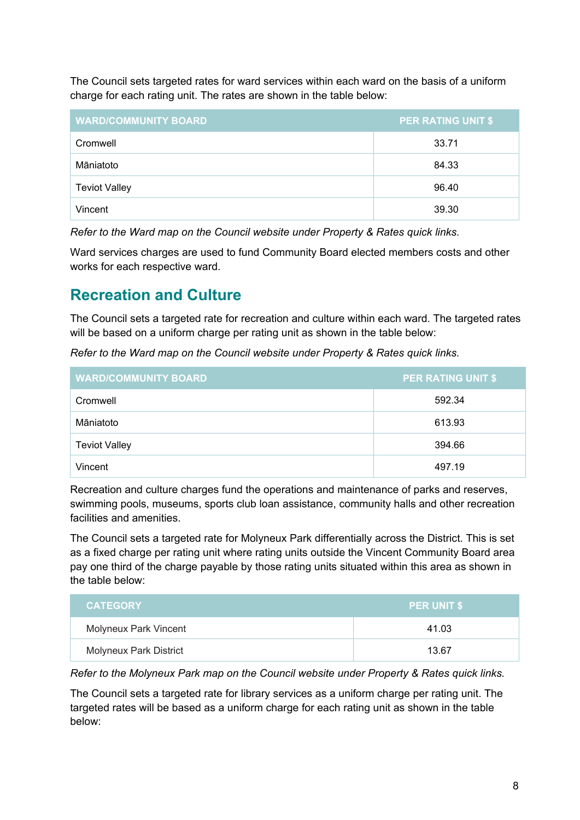The Council sets targeted rates for ward services within each ward on the basis of a uniform charge for each rating unit. The rates are shown in the table below:

| <b>WARD/COMMUNITY BOARD</b> | <b>PER RATING UNIT \$</b> |
|-----------------------------|---------------------------|
| Cromwell                    | 33.71                     |
| Māniatoto                   | 84.33                     |
| <b>Teviot Valley</b>        | 96.40                     |
| Vincent                     | 39.30                     |

*Refer to the Ward map on the Council website under Property & Rates quick links.*

Ward services charges are used to fund Community Board elected members costs and other works for each respective ward.

# **Recreation and Culture**

The Council sets a targeted rate for recreation and culture within each ward. The targeted rates will be based on a uniform charge per rating unit as shown in the table below:

*Refer to the Ward map on the Council website under Property & Rates quick links.*

| <b>WARD/COMMUNITY BOARD</b> | <b>PER RATING UNIT \$</b> |
|-----------------------------|---------------------------|
| Cromwell                    | 592.34                    |
| Māniatoto                   | 613.93                    |
| <b>Teviot Valley</b>        | 394.66                    |
| Vincent                     | 497.19                    |

Recreation and culture charges fund the operations and maintenance of parks and reserves, swimming pools, museums, sports club loan assistance, community halls and other recreation facilities and amenities.

The Council sets a targeted rate for Molyneux Park differentially across the District. This is set as a fixed charge per rating unit where rating units outside the Vincent Community Board area pay one third of the charge payable by those rating units situated within this area as shown in the table below:

| <b>CATEGORY</b>               | <b>PER UNIT \$</b> |
|-------------------------------|--------------------|
| Molyneux Park Vincent         | 41.03              |
| <b>Molyneux Park District</b> | 13.67              |

*Refer to the Molyneux Park map on the Council website under Property & Rates quick links.*

The Council sets a targeted rate for library services as a uniform charge per rating unit. The targeted rates will be based as a uniform charge for each rating unit as shown in the table below: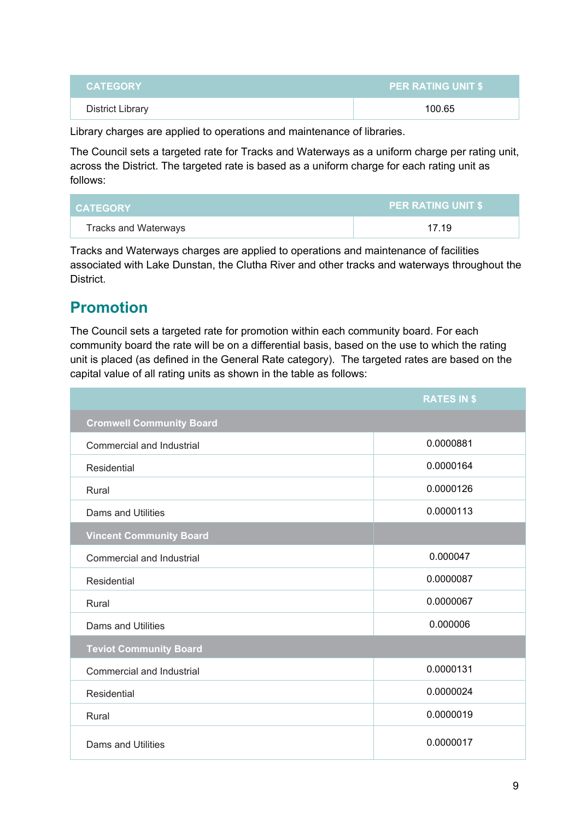| <b>District Library</b><br>100.65 | <b>CATEGORY</b> | <b>PER RATING UNIT \$</b> |  |  |
|-----------------------------------|-----------------|---------------------------|--|--|
|                                   |                 |                           |  |  |

Library charges are applied to operations and maintenance of libraries.

The Council sets a targeted rate for Tracks and Waterways as a uniform charge per rating unit, across the District. The targeted rate is based as a uniform charge for each rating unit as follows:

| <b>CATEGORY</b>      | <b>PER RATING UNIT \$</b> |  |  |
|----------------------|---------------------------|--|--|
| Tracks and Waterways | 17.19                     |  |  |

Tracks and Waterways charges are applied to operations and maintenance of facilities associated with Lake Dunstan, the Clutha River and other tracks and waterways throughout the District.

# **Promotion**

The Council sets a targeted rate for promotion within each community board. For each community board the rate will be on a differential basis, based on the use to which the rating unit is placed (as defined in the General Rate category). The targeted rates are based on the capital value of all rating units as shown in the table as follows:

|                                  | <b>RATES IN \$</b> |  |
|----------------------------------|--------------------|--|
| <b>Cromwell Community Board</b>  |                    |  |
| Commercial and Industrial        | 0.0000881          |  |
| <b>Residential</b>               | 0.0000164          |  |
| Rural                            | 0.0000126          |  |
| <b>Dams and Utilities</b>        | 0.0000113          |  |
| <b>Vincent Community Board</b>   |                    |  |
| <b>Commercial and Industrial</b> | 0.000047           |  |
| Residential                      | 0.0000087          |  |
| Rural                            | 0.0000067          |  |
| <b>Dams and Utilities</b>        | 0.000006           |  |
| <b>Teviot Community Board</b>    |                    |  |
| Commercial and Industrial        | 0.0000131          |  |
| Residential                      | 0.0000024          |  |
| Rural                            | 0.0000019          |  |
| <b>Dams and Utilities</b>        | 0.0000017          |  |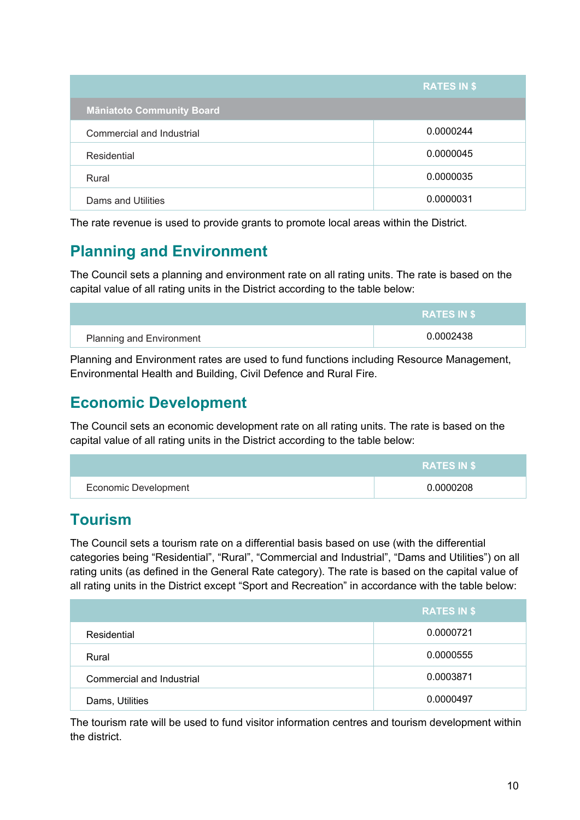|                                  | <b>RATES IN \$</b> |
|----------------------------------|--------------------|
| <b>Māniatoto Community Board</b> |                    |
| Commercial and Industrial        | 0.0000244          |
| Residential                      | 0.0000045          |
| Rural                            | 0.0000035          |
| Dams and Utilities               | 0.0000031          |

The rate revenue is used to provide grants to promote local areas within the District.

# **Planning and Environment**

The Council sets a planning and environment rate on all rating units. The rate is based on the capital value of all rating units in the District according to the table below:

|                                 | <b>RATES IN ST</b> |
|---------------------------------|--------------------|
| <b>Planning and Environment</b> | 0.0002438          |

Planning and Environment rates are used to fund functions including Resource Management, Environmental Health and Building, Civil Defence and Rural Fire.

# **Economic Development**

The Council sets an economic development rate on all rating units. The rate is based on the capital value of all rating units in the District according to the table below:

|                      | <b>RATES IN \$</b> |
|----------------------|--------------------|
| Economic Development | 0.0000208          |

# **Tourism**

The Council sets a tourism rate on a differential basis based on use (with the differential categories being "Residential", "Rural", "Commercial and Industrial", "Dams and Utilities") on all rating units (as defined in the General Rate category). The rate is based on the capital value of all rating units in the District except "Sport and Recreation" in accordance with the table below:

|                           | <b>RATES IN \$</b> |
|---------------------------|--------------------|
| Residential               | 0.0000721          |
| Rural                     | 0.0000555          |
| Commercial and Industrial | 0.0003871          |
| Dams, Utilities           | 0.0000497          |

The tourism rate will be used to fund visitor information centres and tourism development within the district.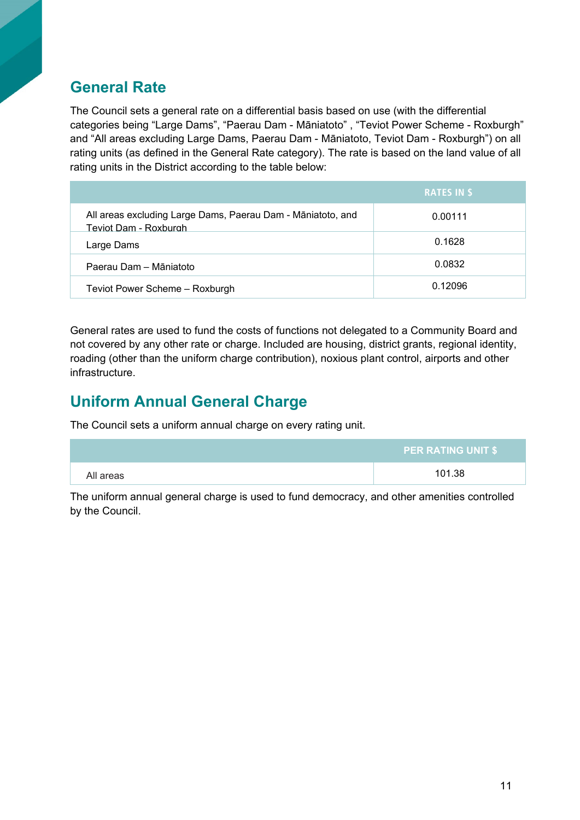# **General Rate**

The Council sets a general rate on a differential basis based on use (with the differential categories being "Large Dams", "Paerau Dam - Māniatoto" , "Teviot Power Scheme - Roxburgh" and "All areas excluding Large Dams, Paerau Dam - Māniatoto, Teviot Dam - Roxburgh") on all rating units (as defined in the General Rate category). The rate is based on the land value of all rating units in the District according to the table below:

|                                                                                      | <b>RATES IN \$</b> |
|--------------------------------------------------------------------------------------|--------------------|
| All areas excluding Large Dams, Paerau Dam - Māniatoto, and<br>Teviot Dam - Roxburgh | 0.00111            |
| Large Dams                                                                           | 0.1628             |
| Paerau Dam - Māniatoto                                                               | 0.0832             |
| Teviot Power Scheme - Roxburgh                                                       | 0.12096            |

General rates are used to fund the costs of functions not delegated to a Community Board and not covered by any other rate or charge. Included are housing, district grants, regional identity, roading (other than the uniform charge contribution), noxious plant control, airports and other infrastructure.

# **Uniform Annual General Charge**

The Council sets a uniform annual charge on every rating unit.

|           | <b>PER RATING UNIT \$</b> |
|-----------|---------------------------|
| All areas | 101.38                    |

The uniform annual general charge is used to fund democracy, and other amenities controlled by the Council.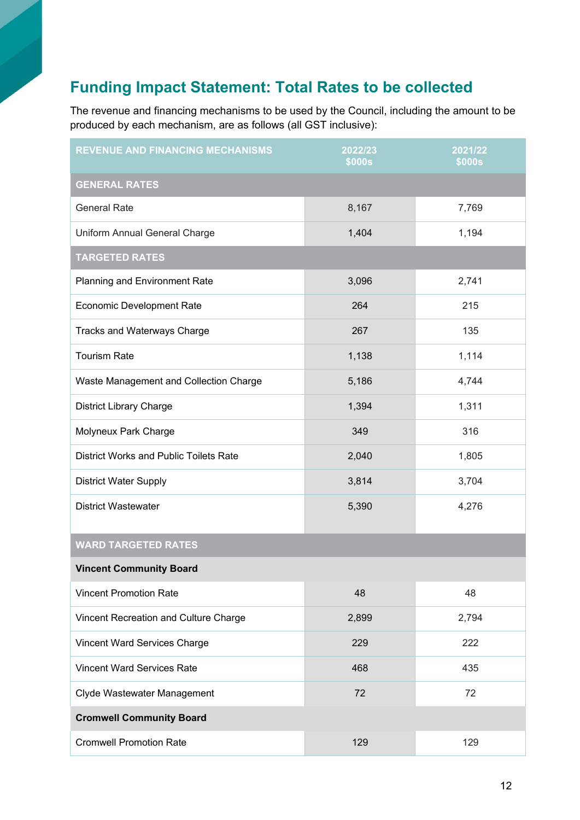# **Funding Impact Statement: Total Rates to be collected**

The revenue and financing mechanisms to be used by the Council, including the amount to be produced by each mechanism, are as follows (all GST inclusive):

| <b>REVENUE AND FINANCING MECHANISMS</b>       | 2022/23<br><b>\$000s</b> | 2021/22<br><b>\$000s</b> |  |  |  |
|-----------------------------------------------|--------------------------|--------------------------|--|--|--|
| <b>GENERAL RATES</b>                          |                          |                          |  |  |  |
| <b>General Rate</b>                           | 8,167                    | 7,769                    |  |  |  |
| Uniform Annual General Charge                 | 1,404                    | 1,194                    |  |  |  |
| <b>TARGETED RATES</b>                         |                          |                          |  |  |  |
| <b>Planning and Environment Rate</b>          | 3,096                    | 2,741                    |  |  |  |
| <b>Economic Development Rate</b>              | 264                      | 215                      |  |  |  |
| <b>Tracks and Waterways Charge</b>            | 267                      | 135                      |  |  |  |
| <b>Tourism Rate</b>                           | 1,138                    | 1,114                    |  |  |  |
| Waste Management and Collection Charge        | 5,186                    | 4,744                    |  |  |  |
| <b>District Library Charge</b>                | 1,394                    | 1,311                    |  |  |  |
| Molyneux Park Charge                          | 349                      | 316                      |  |  |  |
| <b>District Works and Public Toilets Rate</b> | 2,040                    | 1,805                    |  |  |  |
| <b>District Water Supply</b>                  | 3,814                    | 3,704                    |  |  |  |
| <b>District Wastewater</b>                    | 5,390                    | 4,276                    |  |  |  |
| <b>WARD TARGETED RATES</b>                    |                          |                          |  |  |  |
| <b>Vincent Community Board</b>                |                          |                          |  |  |  |
| <b>Vincent Promotion Rate</b>                 | 48                       | 48                       |  |  |  |
| Vincent Recreation and Culture Charge         | 2,899                    | 2,794                    |  |  |  |
| Vincent Ward Services Charge                  | 229                      | 222                      |  |  |  |
| <b>Vincent Ward Services Rate</b>             | 468                      | 435                      |  |  |  |
| Clyde Wastewater Management                   | 72                       | 72                       |  |  |  |
| <b>Cromwell Community Board</b>               |                          |                          |  |  |  |
| <b>Cromwell Promotion Rate</b>                | 129                      | 129                      |  |  |  |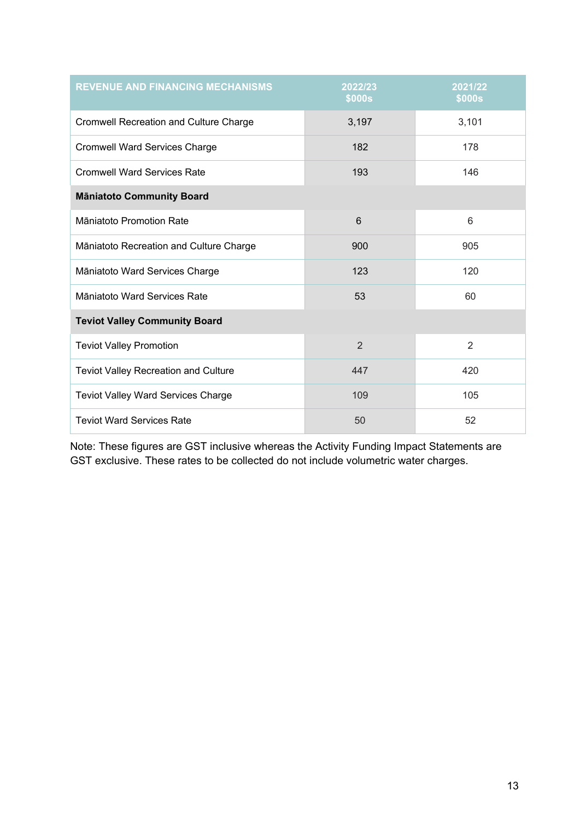| <b>REVENUE AND FINANCING MECHANISMS</b>   | 2022/23<br><b>\$000s</b> | 2021/22<br><b>\$000s</b> |  |  |
|-------------------------------------------|--------------------------|--------------------------|--|--|
| Cromwell Recreation and Culture Charge    | 3,197                    | 3,101                    |  |  |
| <b>Cromwell Ward Services Charge</b>      | 182                      | 178                      |  |  |
| <b>Cromwell Ward Services Rate</b>        | 193                      | 146                      |  |  |
| <b>Māniatoto Community Board</b>          |                          |                          |  |  |
| Māniatoto Promotion Rate                  | 6                        | 6                        |  |  |
| Māniatoto Recreation and Culture Charge   | 900                      | 905                      |  |  |
| Māniatoto Ward Services Charge            | 123                      | 120                      |  |  |
| Māniatoto Ward Services Rate              | 53                       | 60                       |  |  |
| <b>Teviot Valley Community Board</b>      |                          |                          |  |  |
| <b>Teviot Valley Promotion</b>            | $\overline{2}$           | 2                        |  |  |
| Teviot Valley Recreation and Culture      | 447                      | 420                      |  |  |
| <b>Teviot Valley Ward Services Charge</b> | 109                      | 105                      |  |  |
| <b>Teviot Ward Services Rate</b>          | 50                       | 52                       |  |  |

Note: These figures are GST inclusive whereas the Activity Funding Impact Statements are GST exclusive. These rates to be collected do not include volumetric water charges.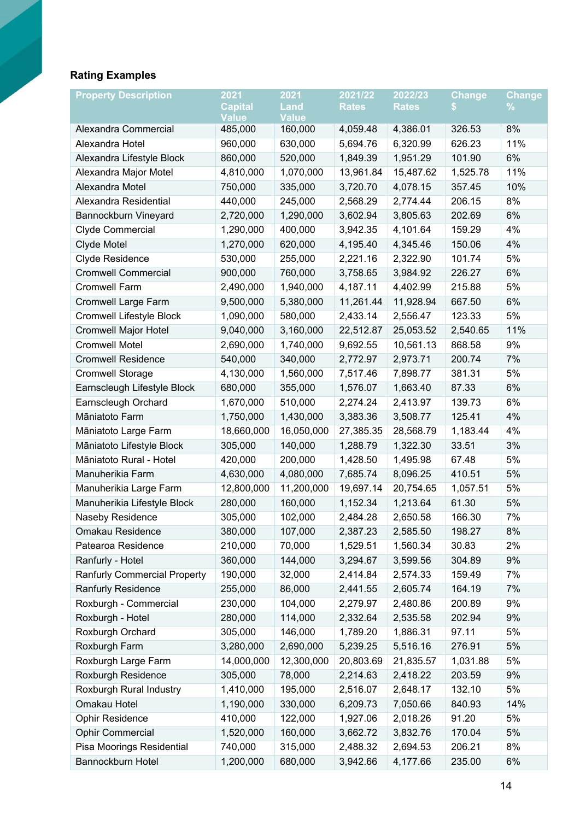# **Rating Examples**

| <b>Property Description</b>         | 2021                           | 2021                 | 2021/22      | 2022/23      | <b>Change</b> | <b>Change</b> |
|-------------------------------------|--------------------------------|----------------------|--------------|--------------|---------------|---------------|
|                                     | <b>Capital</b><br><b>Value</b> | Land<br><b>Value</b> | <b>Rates</b> | <b>Rates</b> |               | %             |
| Alexandra Commercial                | 485,000                        | 160,000              | 4,059.48     | 4,386.01     | 326.53        | 8%            |
| Alexandra Hotel                     | 960,000                        | 630,000              | 5,694.76     | 6,320.99     | 626.23        | 11%           |
| Alexandra Lifestyle Block           | 860,000                        | 520,000              | 1,849.39     | 1,951.29     | 101.90        | 6%            |
| Alexandra Major Motel               | 4,810,000                      | 1,070,000            | 13,961.84    | 15,487.62    | 1,525.78      | 11%           |
| Alexandra Motel                     | 750,000                        | 335,000              | 3,720.70     | 4,078.15     | 357.45        | 10%           |
| Alexandra Residential               | 440,000                        | 245,000              | 2,568.29     | 2,774.44     | 206.15        | 8%            |
| Bannockburn Vineyard                | 2,720,000                      | 1,290,000            | 3,602.94     | 3,805.63     | 202.69        | $6\%$         |
| Clyde Commercial                    | 1,290,000                      | 400,000              | 3,942.35     | 4,101.64     | 159.29        | 4%            |
| Clyde Motel                         | 1,270,000                      | 620,000              | 4,195.40     | 4,345.46     | 150.06        | 4%            |
| Clyde Residence                     | 530,000                        | 255,000              | 2,221.16     | 2,322.90     | 101.74        | 5%            |
| <b>Cromwell Commercial</b>          | 900,000                        | 760,000              | 3,758.65     | 3,984.92     | 226.27        | 6%            |
| <b>Cromwell Farm</b>                | 2,490,000                      | 1,940,000            | 4,187.11     | 4,402.99     | 215.88        | 5%            |
| Cromwell Large Farm                 | 9,500,000                      | 5,380,000            | 11,261.44    | 11,928.94    | 667.50        | 6%            |
| Cromwell Lifestyle Block            | 1,090,000                      | 580,000              | 2,433.14     | 2,556.47     | 123.33        | 5%            |
| <b>Cromwell Major Hotel</b>         | 9,040,000                      | 3,160,000            | 22,512.87    | 25,053.52    | 2,540.65      | 11%           |
| <b>Cromwell Motel</b>               | 2,690,000                      | 1,740,000            | 9,692.55     | 10,561.13    | 868.58        | 9%            |
| <b>Cromwell Residence</b>           | 540,000                        | 340,000              | 2,772.97     | 2,973.71     | 200.74        | 7%            |
| <b>Cromwell Storage</b>             | 4,130,000                      | 1,560,000            | 7,517.46     | 7,898.77     | 381.31        | 5%            |
| Earnscleugh Lifestyle Block         | 680,000                        | 355,000              | 1,576.07     | 1,663.40     | 87.33         | 6%            |
| Earnscleugh Orchard                 | 1,670,000                      | 510,000              | 2,274.24     | 2,413.97     | 139.73        | 6%            |
| Māniatoto Farm                      | 1,750,000                      | 1,430,000            | 3,383.36     | 3,508.77     | 125.41        | 4%            |
| Māniatoto Large Farm                | 18,660,000                     | 16,050,000           | 27,385.35    | 28,568.79    | 1,183.44      | 4%            |
| Māniatoto Lifestyle Block           | 305,000                        | 140,000              | 1,288.79     | 1,322.30     | 33.51         | 3%            |
| Māniatoto Rural - Hotel             | 420,000                        | 200,000              | 1,428.50     | 1,495.98     | 67.48         | 5%            |
| Manuherikia Farm                    | 4,630,000                      | 4,080,000            | 7,685.74     | 8,096.25     | 410.51        | 5%            |
| Manuherikia Large Farm              | 12,800,000                     | 11,200,000           | 19,697.14    | 20,754.65    | 1,057.51      | 5%            |
| Manuherikia Lifestyle Block         | 280,000                        | 160,000              | 1,152.34     | 1,213.64     | 61.30         | 5%            |
| Naseby Residence                    | 305,000                        | 102,000              | 2,484.28     | 2,650.58     | 166.30        | 7%            |
| Omakau Residence                    | 380,000                        | 107,000              | 2,387.23     | 2,585.50     | 198.27        | 8%            |
| Patearoa Residence                  | 210,000                        | 70,000               | 1,529.51     | 1,560.34     | 30.83         | 2%            |
| Ranfurly - Hotel                    | 360,000                        | 144,000              | 3,294.67     | 3,599.56     | 304.89        | 9%            |
| <b>Ranfurly Commercial Property</b> | 190,000                        | 32,000               | 2,414.84     | 2,574.33     | 159.49        | 7%            |
| <b>Ranfurly Residence</b>           | 255,000                        | 86,000               | 2,441.55     | 2,605.74     | 164.19        | 7%            |
| Roxburgh - Commercial               | 230,000                        | 104,000              | 2,279.97     | 2,480.86     | 200.89        | 9%            |
| Roxburgh - Hotel                    | 280,000                        | 114,000              | 2,332.64     | 2,535.58     | 202.94        | 9%            |
| Roxburgh Orchard                    | 305,000                        | 146,000              | 1,789.20     | 1,886.31     | 97.11         | 5%            |
| Roxburgh Farm                       | 3,280,000                      | 2,690,000            | 5,239.25     | 5,516.16     | 276.91        | 5%            |
| Roxburgh Large Farm                 | 14,000,000                     | 12,300,000           | 20,803.69    | 21,835.57    | 1,031.88      | 5%            |
| Roxburgh Residence                  | 305,000                        | 78,000               | 2,214.63     | 2,418.22     | 203.59        | 9%            |
| Roxburgh Rural Industry             | 1,410,000                      | 195,000              | 2,516.07     | 2,648.17     | 132.10        | 5%            |
| Omakau Hotel                        | 1,190,000                      | 330,000              | 6,209.73     | 7,050.66     | 840.93        | 14%           |
| <b>Ophir Residence</b>              | 410,000                        | 122,000              | 1,927.06     | 2,018.26     | 91.20         | 5%            |
| <b>Ophir Commercial</b>             | 1,520,000                      | 160,000              | 3,662.72     | 3,832.76     | 170.04        | 5%            |
| Pisa Moorings Residential           | 740,000                        | 315,000              | 2,488.32     | 2,694.53     | 206.21        | 8%            |
| Bannockburn Hotel                   | 1,200,000                      | 680,000              | 3,942.66     | 4,177.66     | 235.00        | 6%            |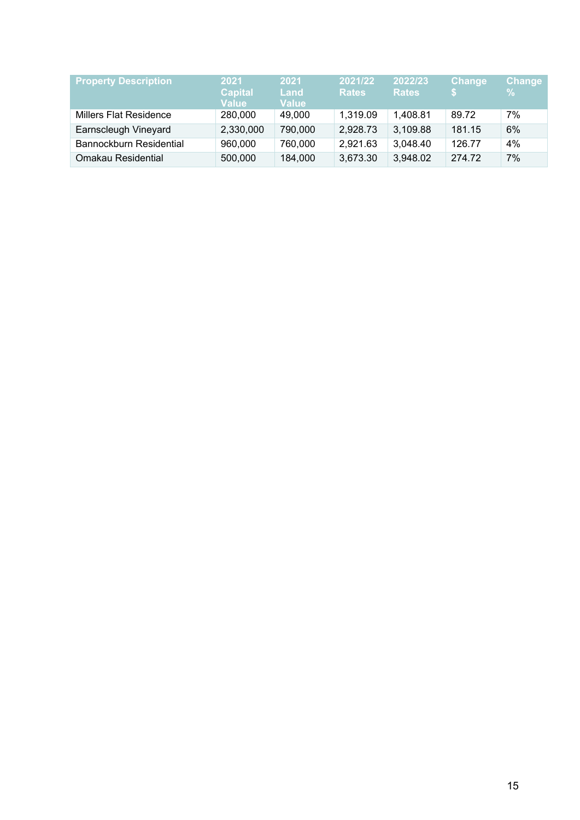| <b>Property Description</b>   | 2021<br><b>Capital</b><br><b>Value</b> | 2021<br>Land<br><b>Value</b> | 2021/22<br><b>Rates</b> | 2022/23<br><b>Rates</b> | <b>Change</b> | <b>Change</b><br>$\%$ |
|-------------------------------|----------------------------------------|------------------------------|-------------------------|-------------------------|---------------|-----------------------|
| <b>Millers Flat Residence</b> | 280,000                                | 49,000                       | 1,319.09                | 1,408.81                | 89.72         | 7%                    |
| Earnscleugh Vineyard          | 2,330,000                              | 790,000                      | 2,928.73                | 3,109.88                | 181.15        | 6%                    |
| Bannockburn Residential       | 960,000                                | 760,000                      | 2,921.63                | 3,048.40                | 126.77        | 4%                    |
| Omakau Residential            | 500,000                                | 184,000                      | 3,673.30                | 3,948.02                | 274.72        | 7%                    |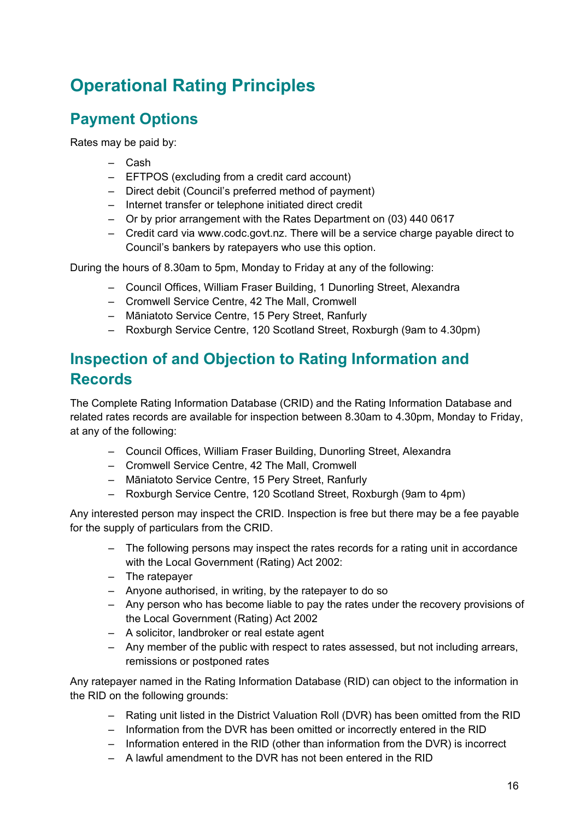# **Operational Rating Principles**

# **Payment Options**

Rates may be paid by:

- ‒ Cash
- ‒ EFTPOS (excluding from a credit card account)
- ‒ Direct debit (Council's preferred method of payment)
- ‒ Internet transfer or telephone initiated direct credit
- ‒ Or by prior arrangement with the Rates Department on (03) 440 0617
- ‒ Credit card via www.codc.govt.nz. There will be a service charge payable direct to Council's bankers by ratepayers who use this option.

During the hours of 8.30am to 5pm, Monday to Friday at any of the following:

- ‒ Council Offices, William Fraser Building, 1 Dunorling Street, Alexandra
- Cromwell Service Centre, 42 The Mall, Cromwell
- ‒ Māniatoto Service Centre, 15 Pery Street, Ranfurly
- ‒ Roxburgh Service Centre, 120 Scotland Street, Roxburgh (9am to 4.30pm)

# **Inspection of and Objection to Rating Information and Records**

The Complete Rating Information Database (CRID) and the Rating Information Database and related rates records are available for inspection between 8.30am to 4.30pm, Monday to Friday, at any of the following:

- ‒ Council Offices, William Fraser Building, Dunorling Street, Alexandra
- Cromwell Service Centre, 42 The Mall, Cromwell
- ‒ Māniatoto Service Centre, 15 Pery Street, Ranfurly
- ‒ Roxburgh Service Centre, 120 Scotland Street, Roxburgh (9am to 4pm)

Any interested person may inspect the CRID. Inspection is free but there may be a fee payable for the supply of particulars from the CRID.

- The following persons may inspect the rates records for a rating unit in accordance with the Local Government (Rating) Act 2002:
- ‒ The ratepayer
- ‒ Anyone authorised, in writing, by the ratepayer to do so
- ‒ Any person who has become liable to pay the rates under the recovery provisions of the Local Government (Rating) Act 2002
- ‒ A solicitor, landbroker or real estate agent
- ‒ Any member of the public with respect to rates assessed, but not including arrears, remissions or postponed rates

Any ratepayer named in the Rating Information Database (RID) can object to the information in the RID on the following grounds:

- ‒ Rating unit listed in the District Valuation Roll (DVR) has been omitted from the RID
- Information from the DVR has been omitted or incorrectly entered in the RID
- ‒ Information entered in the RID (other than information from the DVR) is incorrect
- ‒ A lawful amendment to the DVR has not been entered in the RID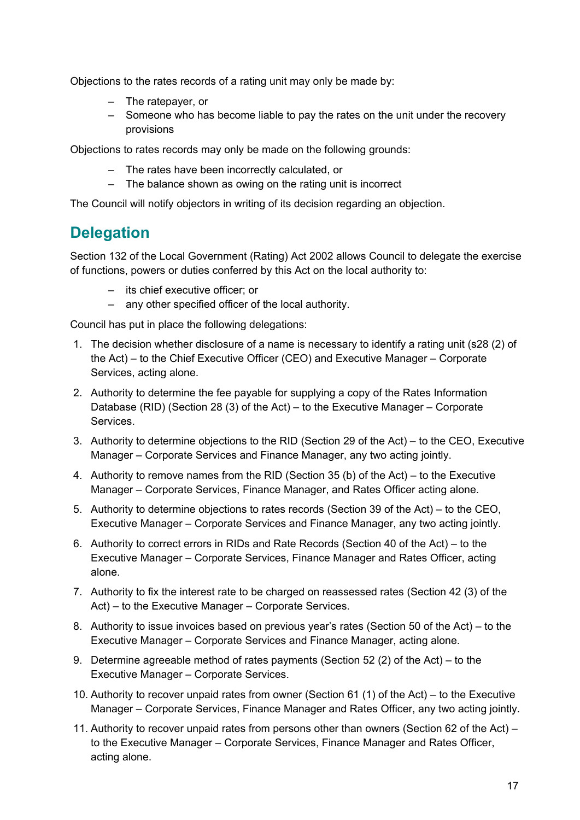Objections to the rates records of a rating unit may only be made by:

- ‒ The ratepayer, or
- ‒ Someone who has become liable to pay the rates on the unit under the recovery provisions

Objections to rates records may only be made on the following grounds:

- ‒ The rates have been incorrectly calculated, or
- The balance shown as owing on the rating unit is incorrect

The Council will notify objectors in writing of its decision regarding an objection.

# **Delegation**

Section 132 of the Local Government (Rating) Act 2002 allows Council to delegate the exercise of functions, powers or duties conferred by this Act on the local authority to:

- ‒ its chief executive officer; or
- ‒ any other specified officer of the local authority.

Council has put in place the following delegations:

- 1. The decision whether disclosure of a name is necessary to identify a rating unit (s28 (2) of the Act) – to the Chief Executive Officer (CEO) and Executive Manager – Corporate Services, acting alone.
- 2. Authority to determine the fee payable for supplying a copy of the Rates Information Database (RID) (Section 28 (3) of the Act) – to the Executive Manager – Corporate Services.
- 3. Authority to determine objections to the RID (Section 29 of the Act) to the CEO, Executive Manager – Corporate Services and Finance Manager, any two acting jointly.
- 4. Authority to remove names from the RID (Section 35 (b) of the Act) to the Executive Manager – Corporate Services, Finance Manager, and Rates Officer acting alone.
- 5. Authority to determine objections to rates records (Section 39 of the Act) to the CEO, Executive Manager – Corporate Services and Finance Manager, any two acting jointly.
- 6. Authority to correct errors in RIDs and Rate Records (Section 40 of the Act) to the Executive Manager – Corporate Services, Finance Manager and Rates Officer, acting alone.
- 7. Authority to fix the interest rate to be charged on reassessed rates (Section 42 (3) of the Act) – to the Executive Manager – Corporate Services.
- 8. Authority to issue invoices based on previous year's rates (Section 50 of the Act) to the Executive Manager – Corporate Services and Finance Manager, acting alone.
- 9. Determine agreeable method of rates payments (Section 52 (2) of the Act) to the Executive Manager – Corporate Services.
- 10. Authority to recover unpaid rates from owner (Section 61 (1) of the Act) to the Executive Manager – Corporate Services, Finance Manager and Rates Officer, any two acting jointly.
- 11. Authority to recover unpaid rates from persons other than owners (Section 62 of the Act) to the Executive Manager – Corporate Services, Finance Manager and Rates Officer, acting alone.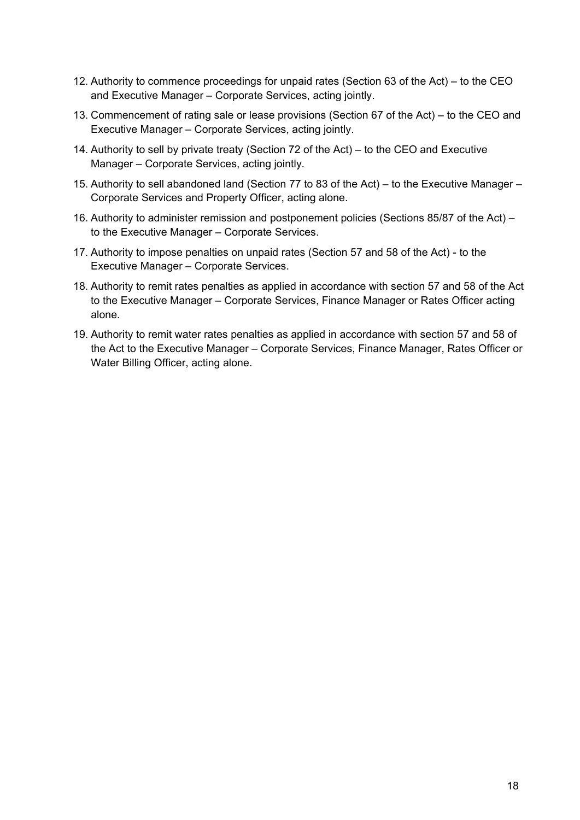- 12. Authority to commence proceedings for unpaid rates (Section 63 of the Act) to the CEO and Executive Manager – Corporate Services, acting jointly.
- 13. Commencement of rating sale or lease provisions (Section 67 of the Act) to the CEO and Executive Manager – Corporate Services, acting jointly.
- 14. Authority to sell by private treaty (Section 72 of the Act) to the CEO and Executive Manager – Corporate Services, acting jointly.
- 15. Authority to sell abandoned land (Section 77 to 83 of the Act) to the Executive Manager Corporate Services and Property Officer, acting alone.
- 16. Authority to administer remission and postponement policies (Sections 85/87 of the Act) to the Executive Manager – Corporate Services.
- 17. Authority to impose penalties on unpaid rates (Section 57 and 58 of the Act) to the Executive Manager – Corporate Services.
- 18. Authority to remit rates penalties as applied in accordance with section 57 and 58 of the Act to the Executive Manager – Corporate Services, Finance Manager or Rates Officer acting alone.
- 19. Authority to remit water rates penalties as applied in accordance with section 57 and 58 of the Act to the Executive Manager – Corporate Services, Finance Manager, Rates Officer or Water Billing Officer, acting alone.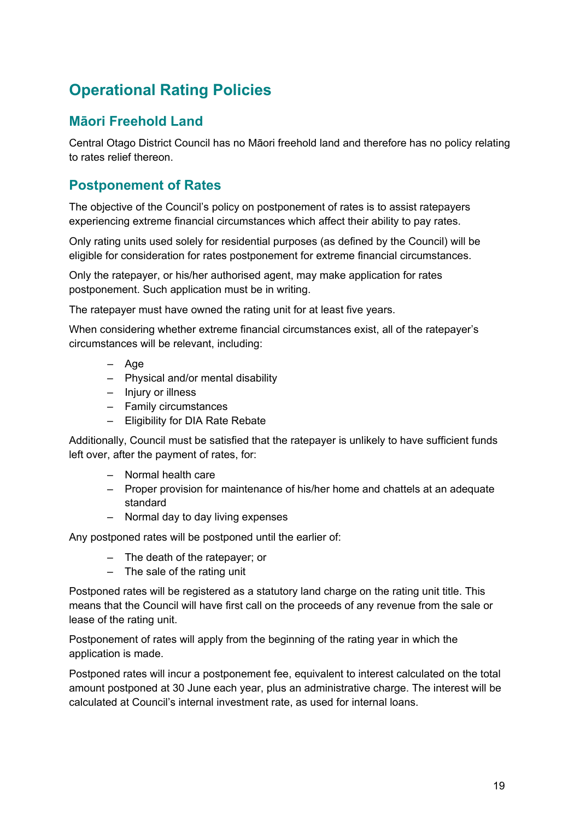# **Operational Rating Policies**

### **Māori Freehold Land**

Central Otago District Council has no Māori freehold land and therefore has no policy relating to rates relief thereon.

#### **Postponement of Rates**

The objective of the Council's policy on postponement of rates is to assist ratepayers experiencing extreme financial circumstances which affect their ability to pay rates.

Only rating units used solely for residential purposes (as defined by the Council) will be eligible for consideration for rates postponement for extreme financial circumstances.

Only the ratepayer, or his/her authorised agent, may make application for rates postponement. Such application must be in writing.

The ratepayer must have owned the rating unit for at least five years.

When considering whether extreme financial circumstances exist, all of the ratepayer's circumstances will be relevant, including:

- ‒ Age
- ‒ Physical and/or mental disability
- ‒ Injury or illness
- ‒ Family circumstances
- ‒ Eligibility for DIA Rate Rebate

Additionally, Council must be satisfied that the ratepayer is unlikely to have sufficient funds left over, after the payment of rates, for:

- ‒ Normal health care
- ‒ Proper provision for maintenance of his/her home and chattels at an adequate standard
- ‒ Normal day to day living expenses

Any postponed rates will be postponed until the earlier of:

- ‒ The death of the ratepayer; or
- $-$  The sale of the rating unit

Postponed rates will be registered as a statutory land charge on the rating unit title. This means that the Council will have first call on the proceeds of any revenue from the sale or lease of the rating unit.

Postponement of rates will apply from the beginning of the rating year in which the application is made.

Postponed rates will incur a postponement fee, equivalent to interest calculated on the total amount postponed at 30 June each year, plus an administrative charge. The interest will be calculated at Council's internal investment rate, as used for internal loans.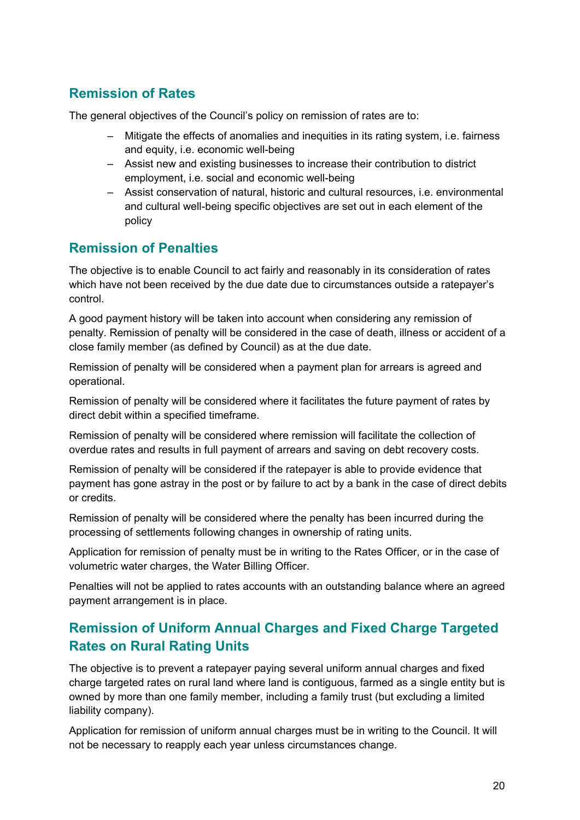# **Remission of Rates**

The general objectives of the Council's policy on remission of rates are to:

- ‒ Mitigate the effects of anomalies and inequities in its rating system, i.e. fairness and equity, i.e. economic well-being
- ‒ Assist new and existing businesses to increase their contribution to district employment, i.e. social and economic well-being
- ‒ Assist conservation of natural, historic and cultural resources, i.e. environmental and cultural well-being specific objectives are set out in each element of the policy

### **Remission of Penalties**

The objective is to enable Council to act fairly and reasonably in its consideration of rates which have not been received by the due date due to circumstances outside a ratepayer's control.

A good payment history will be taken into account when considering any remission of penalty. Remission of penalty will be considered in the case of death, illness or accident of a close family member (as defined by Council) as at the due date.

Remission of penalty will be considered when a payment plan for arrears is agreed and operational.

Remission of penalty will be considered where it facilitates the future payment of rates by direct debit within a specified timeframe.

Remission of penalty will be considered where remission will facilitate the collection of overdue rates and results in full payment of arrears and saving on debt recovery costs.

Remission of penalty will be considered if the ratepayer is able to provide evidence that payment has gone astray in the post or by failure to act by a bank in the case of direct debits or credits.

Remission of penalty will be considered where the penalty has been incurred during the processing of settlements following changes in ownership of rating units.

Application for remission of penalty must be in writing to the Rates Officer, or in the case of volumetric water charges, the Water Billing Officer.

Penalties will not be applied to rates accounts with an outstanding balance where an agreed payment arrangement is in place.

### **Remission of Uniform Annual Charges and Fixed Charge Targeted Rates on Rural Rating Units**

The objective is to prevent a ratepayer paying several uniform annual charges and fixed charge targeted rates on rural land where land is contiguous, farmed as a single entity but is owned by more than one family member, including a family trust (but excluding a limited liability company).

Application for remission of uniform annual charges must be in writing to the Council. It will not be necessary to reapply each year unless circumstances change.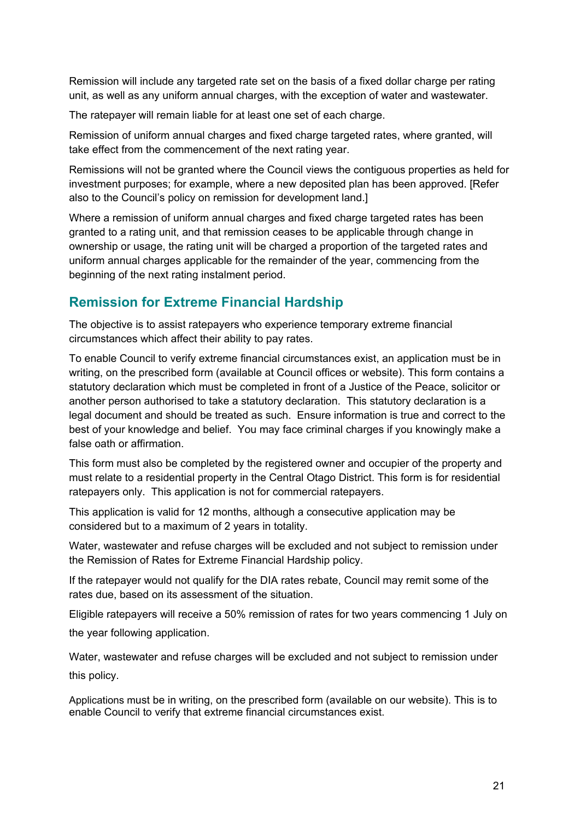Remission will include any targeted rate set on the basis of a fixed dollar charge per rating unit, as well as any uniform annual charges, with the exception of water and wastewater.

The ratepayer will remain liable for at least one set of each charge.

Remission of uniform annual charges and fixed charge targeted rates, where granted, will take effect from the commencement of the next rating year.

Remissions will not be granted where the Council views the contiguous properties as held for investment purposes; for example, where a new deposited plan has been approved. [Refer also to the Council's policy on remission for development land.]

Where a remission of uniform annual charges and fixed charge targeted rates has been granted to a rating unit, and that remission ceases to be applicable through change in ownership or usage, the rating unit will be charged a proportion of the targeted rates and uniform annual charges applicable for the remainder of the year, commencing from the beginning of the next rating instalment period.

### **Remission for Extreme Financial Hardship**

The objective is to assist ratepayers who experience temporary extreme financial circumstances which affect their ability to pay rates.

To enable Council to verify extreme financial circumstances exist, an application must be in writing, on the prescribed form (available at Council offices or website). This form contains a statutory declaration which must be completed in front of a Justice of the Peace, solicitor or another person authorised to take a statutory declaration. This statutory declaration is a legal document and should be treated as such. Ensure information is true and correct to the best of your knowledge and belief. You may face criminal charges if you knowingly make a false oath or affirmation.

This form must also be completed by the registered owner and occupier of the property and must relate to a residential property in the Central Otago District. This form is for residential ratepayers only. This application is not for commercial ratepayers.

This application is valid for 12 months, although a consecutive application may be considered but to a maximum of 2 years in totality.

Water, wastewater and refuse charges will be excluded and not subject to remission under the Remission of Rates for Extreme Financial Hardship policy.

If the ratepayer would not qualify for the DIA rates rebate, Council may remit some of the rates due, based on its assessment of the situation.

Eligible ratepayers will receive a 50% remission of rates for two years commencing 1 July on

the year following application.

Water, wastewater and refuse charges will be excluded and not subject to remission under this policy.

Applications must be in writing, on the prescribed form (available on our website). This is to enable Council to verify that extreme financial circumstances exist.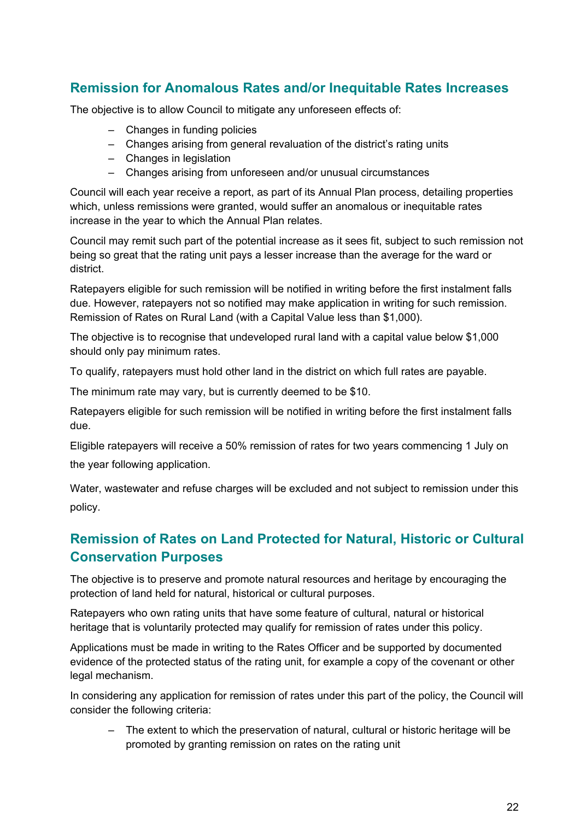### **Remission for Anomalous Rates and/or Inequitable Rates Increases**

The objective is to allow Council to mitigate any unforeseen effects of:

- ‒ Changes in funding policies
- Changes arising from general revaluation of the district's rating units
- Changes in legislation
- ‒ Changes arising from unforeseen and/or unusual circumstances

Council will each year receive a report, as part of its Annual Plan process, detailing properties which, unless remissions were granted, would suffer an anomalous or inequitable rates increase in the year to which the Annual Plan relates.

Council may remit such part of the potential increase as it sees fit, subject to such remission not being so great that the rating unit pays a lesser increase than the average for the ward or district.

Ratepayers eligible for such remission will be notified in writing before the first instalment falls due. However, ratepayers not so notified may make application in writing for such remission. Remission of Rates on Rural Land (with a Capital Value less than \$1,000).

The objective is to recognise that undeveloped rural land with a capital value below \$1,000 should only pay minimum rates.

To qualify, ratepayers must hold other land in the district on which full rates are payable.

The minimum rate may vary, but is currently deemed to be \$10.

Ratepayers eligible for such remission will be notified in writing before the first instalment falls due.

Eligible ratepayers will receive a 50% remission of rates for two years commencing 1 July on the year following application.

Water, wastewater and refuse charges will be excluded and not subject to remission under this policy.

### **Remission of Rates on Land Protected for Natural, Historic or Cultural Conservation Purposes**

The objective is to preserve and promote natural resources and heritage by encouraging the protection of land held for natural, historical or cultural purposes.

Ratepayers who own rating units that have some feature of cultural, natural or historical heritage that is voluntarily protected may qualify for remission of rates under this policy.

Applications must be made in writing to the Rates Officer and be supported by documented evidence of the protected status of the rating unit, for example a copy of the covenant or other legal mechanism.

In considering any application for remission of rates under this part of the policy, the Council will consider the following criteria:

‒ The extent to which the preservation of natural, cultural or historic heritage will be promoted by granting remission on rates on the rating unit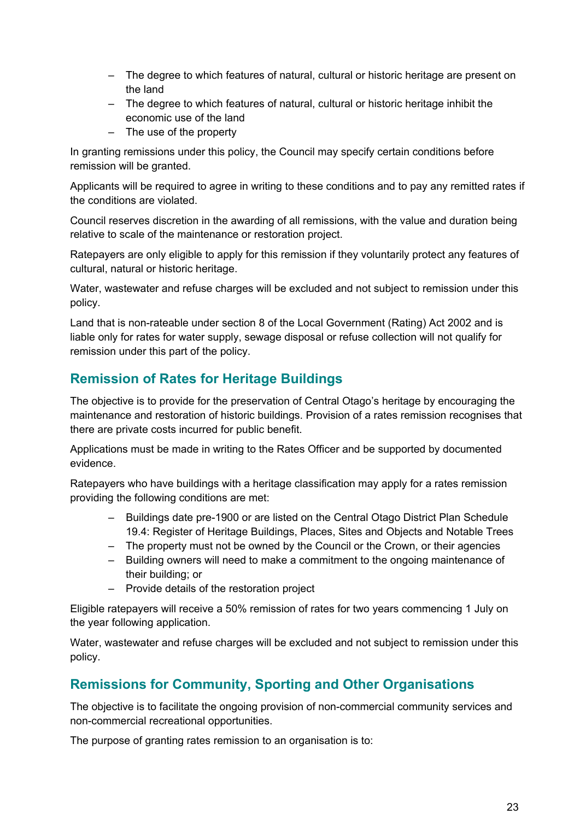- The degree to which features of natural, cultural or historic heritage are present on the land
- The degree to which features of natural, cultural or historic heritage inhibit the economic use of the land
- ‒ The use of the property

In granting remissions under this policy, the Council may specify certain conditions before remission will be granted.

Applicants will be required to agree in writing to these conditions and to pay any remitted rates if the conditions are violated.

Council reserves discretion in the awarding of all remissions, with the value and duration being relative to scale of the maintenance or restoration project.

Ratepayers are only eligible to apply for this remission if they voluntarily protect any features of cultural, natural or historic heritage.

Water, wastewater and refuse charges will be excluded and not subject to remission under this policy.

Land that is non-rateable under section 8 of the Local Government (Rating) Act 2002 and is liable only for rates for water supply, sewage disposal or refuse collection will not qualify for remission under this part of the policy.

# **Remission of Rates for Heritage Buildings**

The objective is to provide for the preservation of Central Otago's heritage by encouraging the maintenance and restoration of historic buildings. Provision of a rates remission recognises that there are private costs incurred for public benefit.

Applications must be made in writing to the Rates Officer and be supported by documented evidence.

Ratepayers who have buildings with a heritage classification may apply for a rates remission providing the following conditions are met:

- ‒ Buildings date pre-1900 or are listed on the Central Otago District Plan Schedule 19.4: Register of Heritage Buildings, Places, Sites and Objects and Notable Trees
- ‒ The property must not be owned by the Council or the Crown, or their agencies
- ‒ Building owners will need to make a commitment to the ongoing maintenance of their building; or
- ‒ Provide details of the restoration project

Eligible ratepayers will receive a 50% remission of rates for two years commencing 1 July on the year following application.

Water, wastewater and refuse charges will be excluded and not subject to remission under this policy.

### **Remissions for Community, Sporting and Other Organisations**

The objective is to facilitate the ongoing provision of non-commercial community services and non-commercial recreational opportunities.

The purpose of granting rates remission to an organisation is to: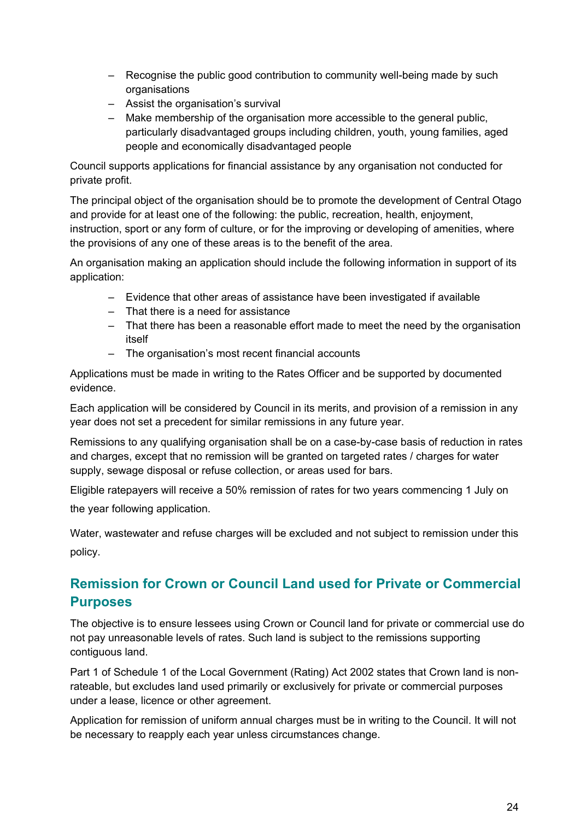- Recognise the public good contribution to community well-being made by such organisations
- ‒ Assist the organisation's survival
- ‒ Make membership of the organisation more accessible to the general public, particularly disadvantaged groups including children, youth, young families, aged people and economically disadvantaged people

Council supports applications for financial assistance by any organisation not conducted for private profit.

The principal object of the organisation should be to promote the development of Central Otago and provide for at least one of the following: the public, recreation, health, enjoyment, instruction, sport or any form of culture, or for the improving or developing of amenities, where the provisions of any one of these areas is to the benefit of the area.

An organisation making an application should include the following information in support of its application:

- ‒ Evidence that other areas of assistance have been investigated if available
- ‒ That there is a need for assistance
- ‒ That there has been a reasonable effort made to meet the need by the organisation itself
- ‒ The organisation's most recent financial accounts

Applications must be made in writing to the Rates Officer and be supported by documented evidence.

Each application will be considered by Council in its merits, and provision of a remission in any year does not set a precedent for similar remissions in any future year.

Remissions to any qualifying organisation shall be on a case-by-case basis of reduction in rates and charges, except that no remission will be granted on targeted rates / charges for water supply, sewage disposal or refuse collection, or areas used for bars.

Eligible ratepayers will receive a 50% remission of rates for two years commencing 1 July on the year following application.

Water, wastewater and refuse charges will be excluded and not subject to remission under this policy.

# **Remission for Crown or Council Land used for Private or Commercial Purposes**

The objective is to ensure lessees using Crown or Council land for private or commercial use do not pay unreasonable levels of rates. Such land is subject to the remissions supporting contiguous land.

Part 1 of Schedule 1 of the Local Government (Rating) Act 2002 states that Crown land is nonrateable, but excludes land used primarily or exclusively for private or commercial purposes under a lease, licence or other agreement.

Application for remission of uniform annual charges must be in writing to the Council. It will not be necessary to reapply each year unless circumstances change.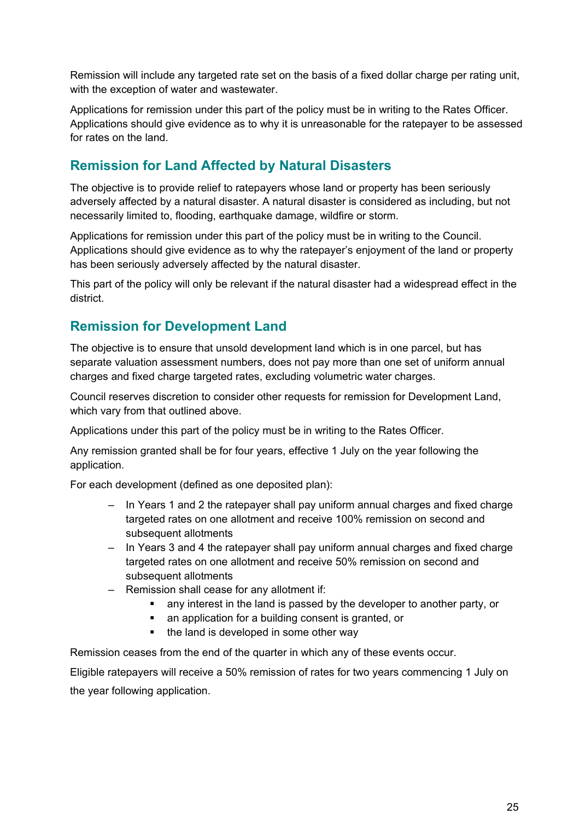Remission will include any targeted rate set on the basis of a fixed dollar charge per rating unit, with the exception of water and wastewater.

Applications for remission under this part of the policy must be in writing to the Rates Officer. Applications should give evidence as to why it is unreasonable for the ratepayer to be assessed for rates on the land.

### **Remission for Land Affected by Natural Disasters**

The objective is to provide relief to ratepayers whose land or property has been seriously adversely affected by a natural disaster. A natural disaster is considered as including, but not necessarily limited to, flooding, earthquake damage, wildfire or storm.

Applications for remission under this part of the policy must be in writing to the Council. Applications should give evidence as to why the ratepayer's enjoyment of the land or property has been seriously adversely affected by the natural disaster.

This part of the policy will only be relevant if the natural disaster had a widespread effect in the district.

### **Remission for Development Land**

The objective is to ensure that unsold development land which is in one parcel, but has separate valuation assessment numbers, does not pay more than one set of uniform annual charges and fixed charge targeted rates, excluding volumetric water charges.

Council reserves discretion to consider other requests for remission for Development Land, which vary from that outlined above.

Applications under this part of the policy must be in writing to the Rates Officer.

Any remission granted shall be for four years, effective 1 July on the year following the application.

For each development (defined as one deposited plan):

- ‒ In Years 1 and 2 the ratepayer shall pay uniform annual charges and fixed charge targeted rates on one allotment and receive 100% remission on second and subsequent allotments
- In Years 3 and 4 the ratepayer shall pay uniform annual charges and fixed charge targeted rates on one allotment and receive 50% remission on second and subsequent allotments
- ‒ Remission shall cease for any allotment if:
	- any interest in the land is passed by the developer to another party, or
	- an application for a building consent is granted, or
	- the land is developed in some other way

Remission ceases from the end of the quarter in which any of these events occur.

Eligible ratepayers will receive a 50% remission of rates for two years commencing 1 July on the year following application.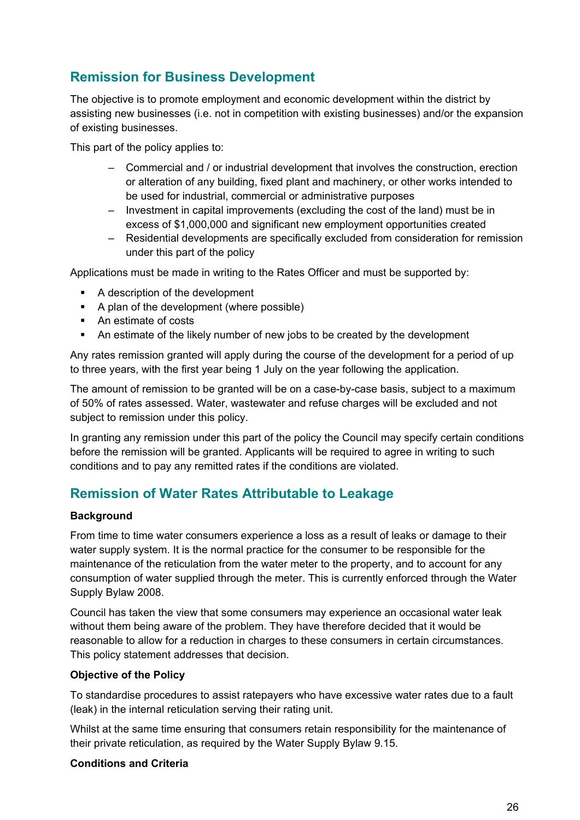# **Remission for Business Development**

The objective is to promote employment and economic development within the district by assisting new businesses (i.e. not in competition with existing businesses) and/or the expansion of existing businesses.

This part of the policy applies to:

- ‒ Commercial and / or industrial development that involves the construction, erection or alteration of any building, fixed plant and machinery, or other works intended to be used for industrial, commercial or administrative purposes
- ‒ Investment in capital improvements (excluding the cost of the land) must be in excess of \$1,000,000 and significant new employment opportunities created
- Residential developments are specifically excluded from consideration for remission under this part of the policy

Applications must be made in writing to the Rates Officer and must be supported by:

- A description of the development
- A plan of the development (where possible)
- An estimate of costs
- An estimate of the likely number of new jobs to be created by the development

Any rates remission granted will apply during the course of the development for a period of up to three years, with the first year being 1 July on the year following the application.

The amount of remission to be granted will be on a case-by-case basis, subject to a maximum of 50% of rates assessed. Water, wastewater and refuse charges will be excluded and not subject to remission under this policy.

In granting any remission under this part of the policy the Council may specify certain conditions before the remission will be granted. Applicants will be required to agree in writing to such conditions and to pay any remitted rates if the conditions are violated.

### **Remission of Water Rates Attributable to Leakage**

#### **Background**

From time to time water consumers experience a loss as a result of leaks or damage to their water supply system. It is the normal practice for the consumer to be responsible for the maintenance of the reticulation from the water meter to the property, and to account for any consumption of water supplied through the meter. This is currently enforced through the Water Supply Bylaw 2008.

Council has taken the view that some consumers may experience an occasional water leak without them being aware of the problem. They have therefore decided that it would be reasonable to allow for a reduction in charges to these consumers in certain circumstances. This policy statement addresses that decision.

#### **Objective of the Policy**

To standardise procedures to assist ratepayers who have excessive water rates due to a fault (leak) in the internal reticulation serving their rating unit.

Whilst at the same time ensuring that consumers retain responsibility for the maintenance of their private reticulation, as required by the Water Supply Bylaw 9.15.

#### **Conditions and Criteria**